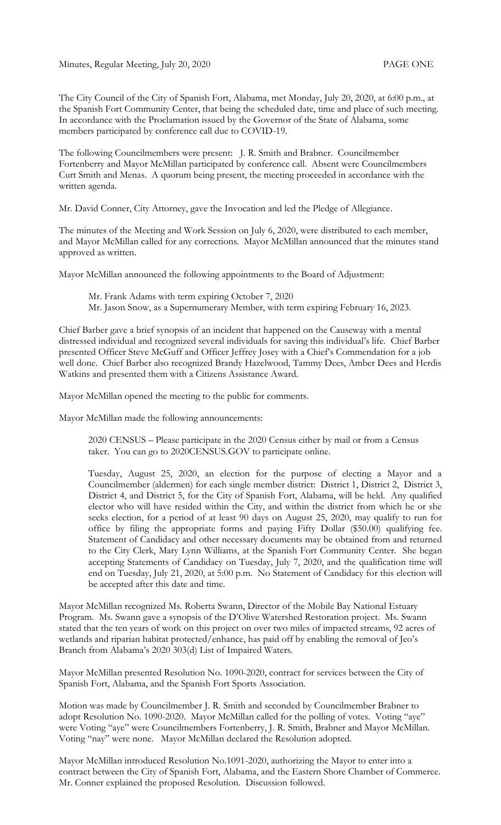Minutes, Regular Meeting, July 20, 2020 PAGE ONE

The City Council of the City of Spanish Fort, Alabama, met Monday, July 20, 2020, at 6:00 p.m., at the Spanish Fort Community Center, that being the scheduled date, time and place of such meeting. In accordance with the Proclamation issued by the Governor of the State of Alabama, some members participated by conference call due to COVID-19.

The following Councilmembers were present: J. R. Smith and Brabner. Councilmember Fortenberry and Mayor McMillan participated by conference call. Absent were Councilmembers Curt Smith and Menas. A quorum being present, the meeting proceeded in accordance with the written agenda.

Mr. David Conner, City Attorney, gave the Invocation and led the Pledge of Allegiance.

The minutes of the Meeting and Work Session on July 6, 2020, were distributed to each member, and Mayor McMillan called for any corrections. Mayor McMillan announced that the minutes stand approved as written.

Mayor McMillan announced the following appointments to the Board of Adjustment:

Mr. Frank Adams with term expiring October 7, 2020 Mr. Jason Snow, as a Supernumerary Member, with term expiring February 16, 2023.

Chief Barber gave a brief synopsis of an incident that happened on the Causeway with a mental distressed individual and recognized several individuals for saving this individual's life. Chief Barber presented Officer Steve McGuff and Officer Jeffrey Josey with a Chief's Commendation for a job well done. Chief Barber also recognized Brandy Hazelwood, Tammy Dees, Amber Dees and Herdis Watkins and presented them with a Citizens Assistance Award.

Mayor McMillan opened the meeting to the public for comments.

Mayor McMillan made the following announcements:

2020 CENSUS – Please participate in the 2020 Census either by mail or from a Census taker. You can go to 2020CENSUS.GOV to participate online.

Tuesday, August 25, 2020, an election for the purpose of electing a Mayor and a Councilmember (aldermen) for each single member district: District 1, District 2, District 3, District 4, and District 5, for the City of Spanish Fort, Alabama, will be held. Any qualified elector who will have resided within the City, and within the district from which he or she seeks election, for a period of at least 90 days on August 25, 2020, may qualify to run for office by filing the appropriate forms and paying Fifty Dollar (\$50.00) qualifying fee. Statement of Candidacy and other necessary documents may be obtained from and returned to the City Clerk, Mary Lynn Williams, at the Spanish Fort Community Center. She began accepting Statements of Candidacy on Tuesday, July 7, 2020, and the qualification time will end on Tuesday, July 21, 2020, at 5:00 p.m. No Statement of Candidacy for this election will be accepted after this date and time.

Mayor McMillan recognized Ms. Roberta Swann, Director of the Mobile Bay National Estuary Program. Ms. Swann gave a synopsis of the D'Olive Watershed Restoration project. Ms. Swann stated that the ten years of work on this project on over two miles of impacted streams, 92 acres of wetlands and riparian habitat protected/enhance, has paid off by enabling the removal of Jeo's Branch from Alabama's 2020 303(d) List of Impaired Waters.

Mayor McMillan presented Resolution No. 1090-2020, contract for services between the City of Spanish Fort, Alabama, and the Spanish Fort Sports Association.

Motion was made by Councilmember J. R. Smith and seconded by Councilmember Brabner to adopt Resolution No. 1090-2020. Mayor McMillan called for the polling of votes. Voting "aye" were Voting "aye" were Councilmembers Fortenberry, J. R. Smith, Brabner and Mayor McMillan. Voting "nay" were none. Mayor McMillan declared the Resolution adopted.

Mayor McMillan introduced Resolution No.1091-2020, authorizing the Mayor to enter into a contract between the City of Spanish Fort, Alabama, and the Eastern Shore Chamber of Commerce. Mr. Conner explained the proposed Resolution. Discussion followed.